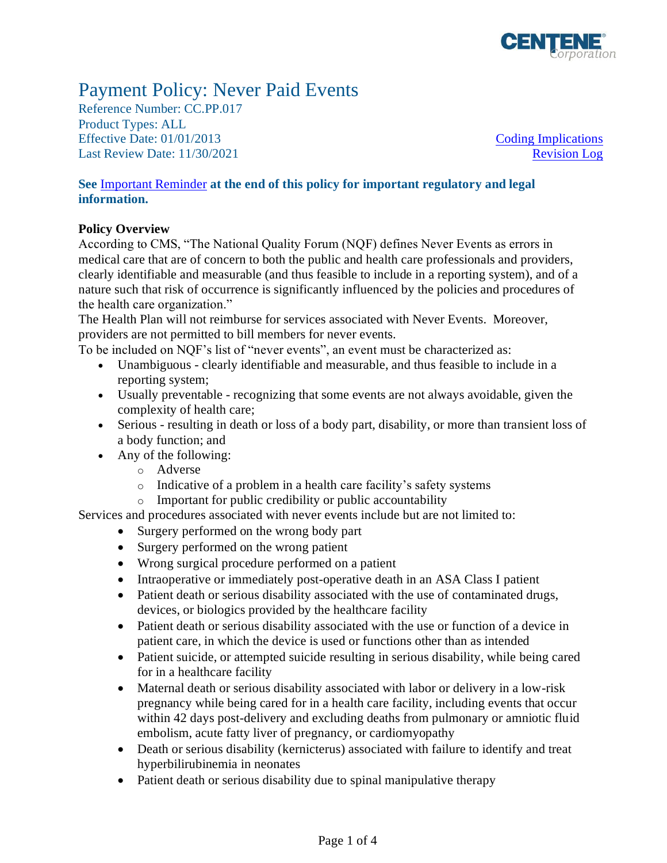

# Payment Policy: Never Paid Events

Reference Number: CC.PP.017 Product Types: ALL Effective Date:  $01/01/2013$  [Coding Implications](#page-1-0) Last Review Date: 11/30/2021 [Revision Log](#page-2-0)

## **See** [Important Reminder](#page-2-1) **at the end of this policy for important regulatory and legal information.**

## **Policy Overview**

According to CMS, "The National Quality Forum (NQF) defines Never Events as errors in medical care that are of concern to both the public and health care professionals and providers, clearly identifiable and measurable (and thus feasible to include in a reporting system), and of a nature such that risk of occurrence is significantly influenced by the policies and procedures of the health care organization."

The Health Plan will not reimburse for services associated with Never Events. Moreover, providers are not permitted to bill members for never events.

To be included on NQF's list of "never events", an event must be characterized as:

- Unambiguous clearly identifiable and measurable, and thus feasible to include in a reporting system;
- Usually preventable recognizing that some events are not always avoidable, given the complexity of health care;
- Serious resulting in death or loss of a body part, disability, or more than transient loss of a body function; and
- Any of the following:
	- o Adverse
	- o Indicative of a problem in a health care facility's safety systems
	- o Important for public credibility or public accountability

Services and procedures associated with never events include but are not limited to:

- [Surgery](http://en.wikipedia.org/wiki/Surgery) performed on the wrong body part
- [Surgery](http://en.wikipedia.org/wiki/Surgery) performed on the wrong patient
- Wrong [surgical procedure](http://en.wikipedia.org/wiki/List_of_surgical_procedures) performed on a patient
- Intraoperative or immediately post-operative death in an [ASA Class I](http://en.wikipedia.org/wiki/ASA_physical_status_classification_system) patient
- Patient death or serious disability associated with the use of contaminated drugs, devices, or biologics provided by the healthcare facility
- Patient death or serious disability associated with the use or function of a device in patient care, in which the device is used or functions other than as intended
- Patient suicide, or [attempted suicide](http://en.wikipedia.org/wiki/Parasuicide) resulting in serious disability, while being cared for in a healthcare facility
- [Maternal death](http://en.wikipedia.org/wiki/Maternal_death) or serious disability associated with labor or delivery in a low-risk pregnancy while being cared for in a health care facility, including events that occur within 42 days post-delivery and excluding deaths from pulmonary or amniotic fluid embolism, acute fatty liver of pregnancy, or cardiomyopathy
- Death or serious disability [\(kernicterus\)](http://en.wikipedia.org/wiki/Kernicterus) associated with failure to identify and treat [hyperbilirubinemia](http://en.wikipedia.org/wiki/Hyperbilirubinemia) in neonates
- Patient death or serious disability due to [spinal manipulative therapy](http://en.wikipedia.org/wiki/Spinal_manipulative_therapy)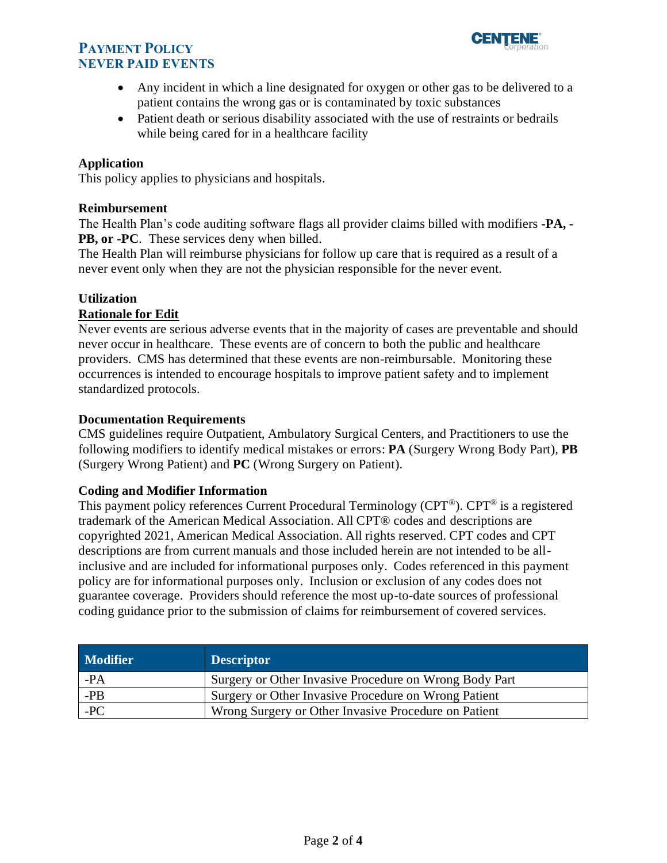# **PAYMENT POLICY NEVER PAID EVENTS**



- Any incident in which a line designated for oxygen or other gas to be delivered to a patient contains the wrong gas or is contaminated by toxic substances
- Patient death or serious disability associated with the use of restraints or bedrails while being cared for in a healthcare facility

## **Application**

This policy applies to physicians and hospitals.

### **Reimbursement**

The Health Plan's code auditing software flags all provider claims billed with modifiers **-PA, - PB, or -PC**. These services deny when billed.

The Health Plan will reimburse physicians for follow up care that is required as a result of a never event only when they are not the physician responsible for the never event.

## **Utilization**

## **Rationale for Edit**

Never events are serious adverse events that in the majority of cases are preventable and should never occur in healthcare. These events are of concern to both the public and healthcare providers. CMS has determined that these events are non-reimbursable. Monitoring these occurrences is intended to encourage hospitals to improve patient safety and to implement standardized protocols.

### **Documentation Requirements**

CMS guidelines require Outpatient, Ambulatory Surgical Centers, and Practitioners to use the following modifiers to identify medical mistakes or errors: **PA** (Surgery Wrong Body Part), **PB** (Surgery Wrong Patient) and **PC** (Wrong Surgery on Patient).

### <span id="page-1-0"></span>**Coding and Modifier Information**

This payment policy references Current Procedural Terminology (CPT®). CPT® is a registered trademark of the American Medical Association. All CPT® codes and descriptions are copyrighted 2021, American Medical Association. All rights reserved. CPT codes and CPT descriptions are from current manuals and those included herein are not intended to be allinclusive and are included for informational purposes only. Codes referenced in this payment policy are for informational purposes only. Inclusion or exclusion of any codes does not guarantee coverage. Providers should reference the most up-to-date sources of professional coding guidance prior to the submission of claims for reimbursement of covered services.

| <b>Modifier</b> | <b>Descriptor</b>                                      |
|-----------------|--------------------------------------------------------|
| -PA             | Surgery or Other Invasive Procedure on Wrong Body Part |
| -PB             | Surgery or Other Invasive Procedure on Wrong Patient   |
| $-PC$           | Wrong Surgery or Other Invasive Procedure on Patient   |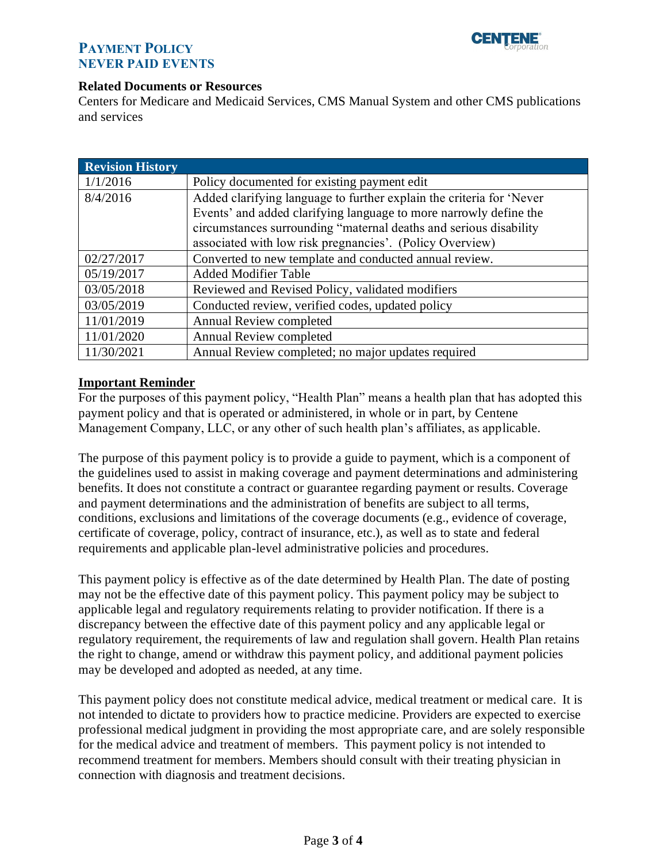

# **PAYMENT POLICY NEVER PAID EVENTS**

#### **Related Documents or Resources**

Centers for Medicare and Medicaid Services, CMS Manual System and other CMS publications and services

<span id="page-2-0"></span>

| <b>Revision History</b> |                                                                      |
|-------------------------|----------------------------------------------------------------------|
| 1/1/2016                | Policy documented for existing payment edit                          |
| 8/4/2016                | Added clarifying language to further explain the criteria for 'Never |
|                         | Events' and added clarifying language to more narrowly define the    |
|                         | circumstances surrounding "maternal deaths and serious disability    |
|                         | associated with low risk pregnancies'. (Policy Overview)             |
| 02/27/2017              | Converted to new template and conducted annual review.               |
| 05/19/2017              | <b>Added Modifier Table</b>                                          |
| 03/05/2018              | Reviewed and Revised Policy, validated modifiers                     |
| 03/05/2019              | Conducted review, verified codes, updated policy                     |
| 11/01/2019              | <b>Annual Review completed</b>                                       |
| 11/01/2020              | Annual Review completed                                              |
| 11/30/2021              | Annual Review completed; no major updates required                   |

### <span id="page-2-1"></span>**Important Reminder**

For the purposes of this payment policy, "Health Plan" means a health plan that has adopted this payment policy and that is operated or administered, in whole or in part, by Centene Management Company, LLC, or any other of such health plan's affiliates, as applicable.

The purpose of this payment policy is to provide a guide to payment, which is a component of the guidelines used to assist in making coverage and payment determinations and administering benefits. It does not constitute a contract or guarantee regarding payment or results. Coverage and payment determinations and the administration of benefits are subject to all terms, conditions, exclusions and limitations of the coverage documents (e.g., evidence of coverage, certificate of coverage, policy, contract of insurance, etc.), as well as to state and federal requirements and applicable plan-level administrative policies and procedures.

This payment policy is effective as of the date determined by Health Plan. The date of posting may not be the effective date of this payment policy. This payment policy may be subject to applicable legal and regulatory requirements relating to provider notification. If there is a discrepancy between the effective date of this payment policy and any applicable legal or regulatory requirement, the requirements of law and regulation shall govern. Health Plan retains the right to change, amend or withdraw this payment policy, and additional payment policies may be developed and adopted as needed, at any time.

This payment policy does not constitute medical advice, medical treatment or medical care. It is not intended to dictate to providers how to practice medicine. Providers are expected to exercise professional medical judgment in providing the most appropriate care, and are solely responsible for the medical advice and treatment of members. This payment policy is not intended to recommend treatment for members. Members should consult with their treating physician in connection with diagnosis and treatment decisions.